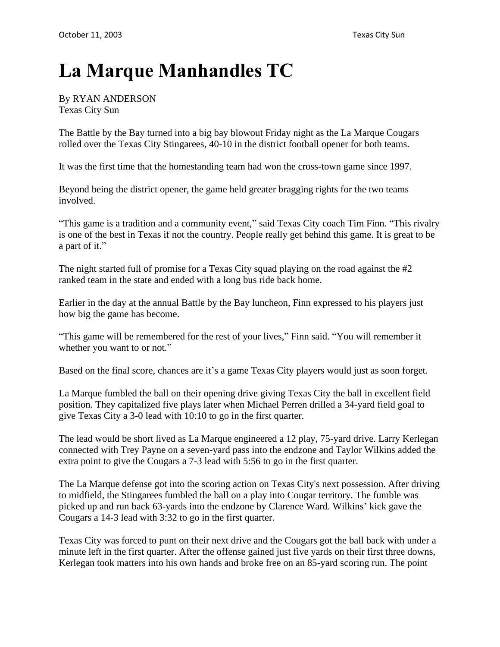## **La Marque Manhandles TC**

By RYAN ANDERSON Texas City Sun

The Battle by the Bay turned into a big bay blowout Friday night as the La Marque Cougars rolled over the Texas City Stingarees, 40-10 in the district football opener for both teams.

It was the first time that the homestanding team had won the cross-town game since 1997.

Beyond being the district opener, the game held greater bragging rights for the two teams involved.

"This game is a tradition and a community event," said Texas City coach Tim Finn. "This rivalry is one of the best in Texas if not the country. People really get behind this game. It is great to be a part of it."

The night started full of promise for a Texas City squad playing on the road against the #2 ranked team in the state and ended with a long bus ride back home.

Earlier in the day at the annual Battle by the Bay luncheon, Finn expressed to his players just how big the game has become.

"This game will be remembered for the rest of your lives," Finn said. "You will remember it whether you want to or not."

Based on the final score, chances are it's a game Texas City players would just as soon forget.

La Marque fumbled the ball on their opening drive giving Texas City the ball in excellent field position. They capitalized five plays later when Michael Perren drilled a 34-yard field goal to give Texas City a 3-0 lead with 10:10 to go in the first quarter.

The lead would be short lived as La Marque engineered a 12 play, 75-yard drive. Larry Kerlegan connected with Trey Payne on a seven-yard pass into the endzone and Taylor Wilkins added the extra point to give the Cougars a 7-3 lead with 5:56 to go in the first quarter.

The La Marque defense got into the scoring action on Texas City's next possession. After driving to midfield, the Stingarees fumbled the ball on a play into Cougar territory. The fumble was picked up and run back 63-yards into the endzone by Clarence Ward. Wilkins' kick gave the Cougars a 14-3 lead with 3:32 to go in the first quarter.

Texas City was forced to punt on their next drive and the Cougars got the ball back with under a minute left in the first quarter. After the offense gained just five yards on their first three downs, Kerlegan took matters into his own hands and broke free on an 85-yard scoring run. The point